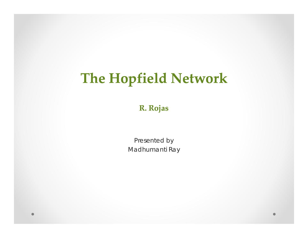# The Hopfield Network

R. Rojas

Presented by Madhumanti Ray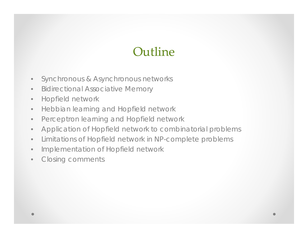# Outline

- $\bullet$ Synchronous & Asynchronous networks
- $\bullet$ Bidirectional Associative Memory
- $\bullet$ Hopfield network
- $\bullet$ Hebbian learning and Hopfield network
- $\bullet$ Perceptron learning and Hopfield network
- $\bullet$ Application of Hopfield network to combinatorial problems
- $\bullet$ Limitations of Hopfield network in NP-complete problems
- $\bullet$ Implementation of Hopfield network
- •Closing comments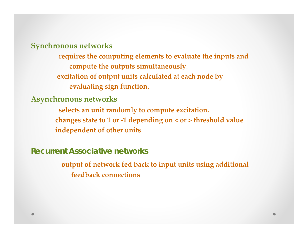**S h ync ronous net k wor <sup>s</sup>**

**requires the computing elements to evaluate the inputs and compute the outputs simultaneously**. **excitation of output units calculated at each node by evaluating sign function.**

**Asynchronous networks**

**selects an unit randomly to compute excitation. changes state to <sup>1</sup> or ‐<sup>1</sup> depending on <sup>&</sup>lt; or <sup>&</sup>gt; threshold value independent of other units**

**Recurrent Associative networks**

**output of network fed back to input units using additional feedback connections**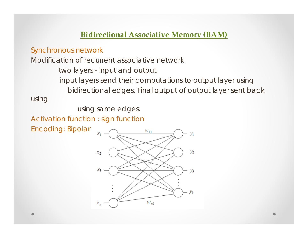### **Bidirectional Associative Memory (BAM)**

### Synchronous network

Modification of recurrent associative network

two layers - input and output

input layers send their computations to output layer using *bidirectional edges*. Final output of output layer sent back

using

using same edges.

Activation function : sign function

Encoding: Bipolar  $\frac{x_1}{x_1}$ 

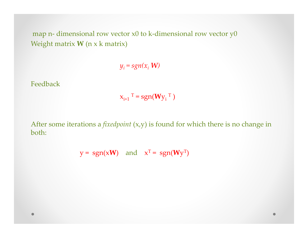map n- dimensional row vector x0 to k-dimensional row vector y0 Weight matrix **W** (n <sup>x</sup> k matrix)

 $y_i = sgn(x_i \mathbf{W})$ 

Feedback

$$
x_{i+1}^T = \text{sgn}(Wy_i^T)
$$

After some iterations <sup>a</sup> *fixedpoint* (x,y) is found for which there is no change in both:

 $y = sgn(xW)$  and  $x^T = sgn(Wy^T)$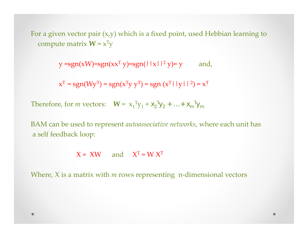For <sup>a</sup> given vector pair (x,y) which is <sup>a</sup> fixed point, used Hebbian learning to compute matrix  $W = x^{T}y$ 

 $y = sgn(xW) = sgn(xX<sup>T</sup> y) = sgn(||x||<sup>2</sup> y) = y$  and,

 $x^T = sgn(Wy^T) = sgn(x^Ty y^T) = sgn(x^T|_y||^2) = x^T$ 

Therefore, for *m* vectors:  $\mathbf{W} = \mathbf{x}_1^T \mathbf{y}_1 + \mathbf{x}_2^T \mathbf{y}_2 + \ldots + \mathbf{x}_m^T \mathbf{y}_m$ 

BAM can be used to represen<sup>t</sup> *autoassociative networks*, where each unit has <sup>a</sup> self feedback loop:

 $X = XW$  and  $X<sup>T</sup> = W X<sup>T</sup>$ 

Where, X is a matrix with *m* rows representing n-dimensional vectors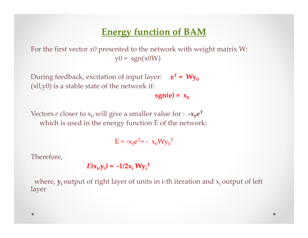# **Energy function of BAM**

For the first vector *x0* presented to the network with weight matrix W:  $y0 = sgn(x0W)$ 

During feedback, excitation of input layer:  $e^T = Wy_0$  $(x0,y0)$  is a stable state of the network if:

 $sgn(e) = x_0$ 

Vectors  $e$  closer to  $\mathsf{x}_0$  will give a smaller value for :  $-\mathsf{x}_0\mathsf{e}^\mathsf{T}$ which is used in the energy function E of the network:

 $E = -x_0e^{T} = -x_0Wy_0^{T}$ 

Therefore,

$$
E(\mathbf{x}_i, \mathbf{y}_i) = -1/2\mathbf{x}_i \mathbf{W} \mathbf{y}_i^{\mathrm{T}}
$$

where,  $y_i$  output of right layer of units in i-th iteration and  $x_i$  output of left layer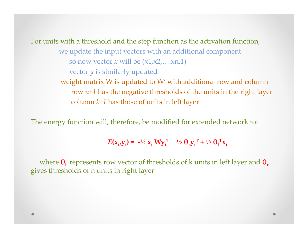For units with <sup>a</sup> threshold and the step function as the activation function, we update the input vectors with an additional componen<sup>t</sup> so now vector *<sup>x</sup>* will be (x1,x2,….xn,1) vector *y* is similarly updated weight matrix W is updated to W' with additional row and column row *n+1* has the negative thresholds of the units in the right layer column *k 1+* has those of units in left layer

The energy function will, therefore, be modified for extended network to:

$$
E(\mathbf{x}_i, \mathbf{y}_i) = -\frac{1}{2} \mathbf{x}_i W \mathbf{y}_i^T + \frac{1}{2} \mathbf{\Theta}_r \mathbf{y}_i^T + \frac{1}{2} \mathbf{\Theta}_l^T \mathbf{x}_i
$$

where **θ<sup>l</sup>** represents row vector of thresholds of k units in left layer and **θ<sup>r</sup>** gives thresholds of <sup>n</sup> units in right layer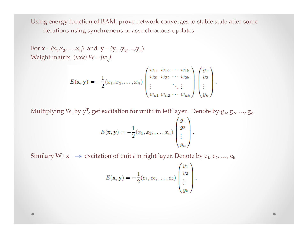Using energy function of BAM, prove network converges to stable state after some iterations using synchronous or asynchronous updates

For  $\mathbf{x} = (x_1, x_2, \dots, x_n)$  and  $\mathbf{y} = (y_1, y_2, \dots, y_n)$ Weight matrix  $(nxk)$   $W = \{w_{ij}\}$ 

$$
E(\mathbf{x}, \mathbf{y}) = -\frac{1}{2}(x_1, x_2, \dots, x_n) \begin{pmatrix} w_{11} & w_{12} & \cdots & w_{1k} \\ w_{21} & w_{22} & \cdots & w_{2k} \\ \vdots & & \ddots & \vdots \\ w_{n1} & w_{n2} & \cdots & w_{nk} \end{pmatrix} \begin{pmatrix} y_1 \\ y_2 \\ \vdots \\ y_k \end{pmatrix}.
$$

Multiplying W<sub>i</sub> by y<sup>T</sup>, get excitation for unit i in left layer. Denote by  $\mathrm{g_{1}}$ ,  $\mathrm{g_{2}}$ , …,  $\mathrm{g_{n}}$ 

$$
E(\mathbf{x}, \mathbf{y}) = -\frac{1}{2}(x_1, x_2, \dots, x_n) \begin{pmatrix} g_1 \\ g_2 \\ \vdots \\ g_n \end{pmatrix}
$$

Similary W<sub>i</sub>⋅ x  $\rightarrow$  excitation of unit *i* in right layer. Denote by  $e_1$ ,  $e_2$ , ...,  $e_k$ 

$$
E(\mathbf{x}, \mathbf{y}) = -\frac{1}{2}(e_1, e_2, \dots, e_k) \begin{pmatrix} y_1 \\ y_2 \\ \vdots \\ y_k \end{pmatrix}
$$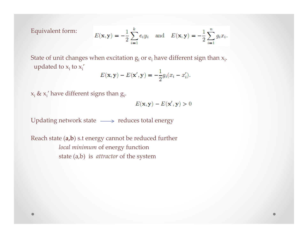Equivalent form:

$$
E(\mathbf{x}, \mathbf{y}) = -\frac{1}{2} \sum_{i=1}^{k} e_i y_i
$$
 and  $E(\mathbf{x}, \mathbf{y}) = -\frac{1}{2} \sum_{i=1}^{n} g_i x_i$ .

State of unit changes when excitation  $\mathrm{g_{i}}$  or  $\mathrm{e_{i}}$  have different sign than  $\mathrm{x_{i}.}$ updated to  $x_i$  to  $x_i'$ 

$$
E(\mathbf{x}, \mathbf{y}) - E(\mathbf{x}', \mathbf{y}) = -\frac{1}{2}g_i(x_i - x'_i).
$$

 $x_i$  &  $x_i'$  have different signs than  $g_i$ .

$$
E(\mathbf{x}, \mathbf{y}) - E(\mathbf{x}', \mathbf{y}) > 0
$$

Updating network state  $\longrightarrow$  reduces total energy

Reach state (**a,b**) s.t energy cannot be reduced further *local minimum* of energy function state (a,b) is *attractor* of the system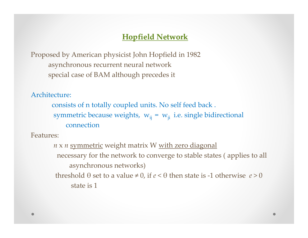### **Hopfield Network**

Proposed by American physicist John Hopfield in 1982 asynchronous recurrent neural network special case of BAM although precedes it

Architecture:

consists of n totally coupled units. No self feed back . symmetric because weights,  $w_{ij} = w_{ji}$  i.e. single bidirectional connection

Features:

*n* <sup>x</sup> *<sup>n</sup>* symmetric weight matrix W with zero diagonal necessary for the network to converge to stable states ( applies to all asynchronous networks) threshold θ set to <sup>a</sup> value <sup>≠</sup>0, if *<sup>e</sup>* <sup>&</sup>lt; θ then state is ‐1 otherwise *<sup>e</sup>* <sup>&</sup>gt; 0 state is 1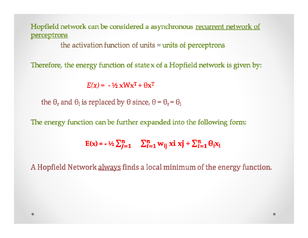### Hopfield network can be considered a asynchronous recurrent network of perceptrons

the activation function of units  $\approx$  units of perceptrons

Therefore, the energy function of state x of a Hopfield network is given by:

 $E(x) = -\frac{1}{2}xWx^{T} + \theta x^{T}$ 

the  $\theta_r$  and  $\theta_1$  is replaced by  $\theta$  since,  $\theta = \theta_r = \theta_1$ 

The energy function can be further expanded into the following form:

 $E(x) = -\frac{1}{2}\sum_{i=1}^{n} \sum_{i=1}^{n} w_{ij} x i x j + \sum_{i=1}^{n} \theta_i x_i$ 

A Hopfield Network always finds a local minimum of the energy function.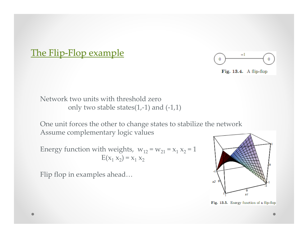# The Flip-Flop example



Fig. 13.4. A flip-flop

Network two units with threshold zero only two stable states $(1,-1)$  and  $(-1,1)$ 

One unit forces the other to change states to stabilize the network Assume complementary logic values

Energy function with weights,  $w_{12} = w_{21} = x_1 x_2 = 1$  $E(x_1 x_2) = x_1 x_2$ 

Flip flop in examples ahead…



Fig. 13.5. Energy function of a flip-flop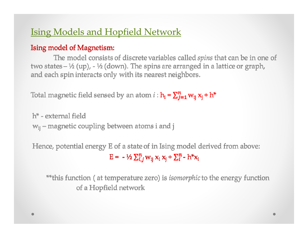# **Ising Models and Hopfield Network**

### Ising model of Magnetism:

The model consists of discrete variables called spins that can be in one of two states  $-$  ½ (up),  $-$  ½ (down). The spins are arranged in a lattice or graph, and each spin interacts only with its nearest neighbors.

Total magnetic field sensed by an atom  $i : h_i = \sum_{j=1}^{n} w_{ij} x_j + h^*$ 

h<sup>\*</sup> - external field  $w_{ii}$  – magnetic coupling between atoms i and j

Hence, potential energy E of a state of in Ising model derived from above:  $E = -\frac{1}{2}\sum_{i,j}^{n} w_{ij} x_i x_i + \sum_{i}^{n} - h^*x_i$ 

\*\*this function (at temperature zero) is *isomorphic* to the energy function of a Hopfield network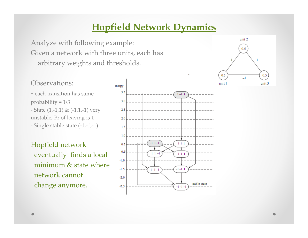# **Hopfield Network Dynamics**

Analyze with following example: Given <sup>a</sup> network with three units, each has arbitrary weights and thresholds.

#### unit 2  $0.5$  $0.5$  $0.5$  $-1$ unit 1 unit 3

### Observations:

‐ each transition has same probability  $= 1/3$ ‐ State (1,‐1,1) & (‐1,1,‐1) very unstable, Pr of leaving is <sup>1</sup> ‐ Single stable state (‐1,‐1,‐1)

Hopfield network eventually finds <sup>a</sup> local minimum  $\&$  state where network cannot change anymore.

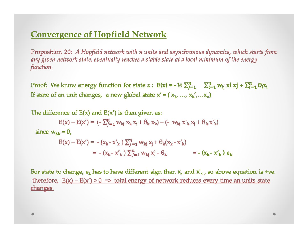### **Convergence of Hopfield Network**

Proposition 20: A Hopfield network with n units and asynchronous dynamics, which starts from any given network state, eventually reaches a stable state at a local minimum of the energy function.

Proof: We know energy function for state  $x : E(x) = -\frac{1}{2}\sum_{i=1}^{n} \sum_{i=1}^{n} w_{ij} x i x j + \sum_{i=1}^{n} \theta_i x_i$ If state of an unit changes, a new global state  $x' = (x_1, ..., x_k', ..., x_n)$ 

The difference of  $E(x)$  and  $E(x')$  is then given as:  $E(x) - E(x') = (-\sum_{i=1}^{n} w_{ki} x_k x_i + \theta_k x_k) - (-w_{ki} x'_{k} x_i + \theta_k x'_{k})$ since  $w_{kk} = 0$ ,  $E(x) - E(x') = - (x_k - x'_k) \sum_{i=1}^n w_{ki} x_i + \theta_k (x_k - x'_k)$ =  $-(x_k - x'_k) \sum_{i=1}^n w_{ki} x^i - \theta_k$  =  $-(x_k - x'_k) e_k$ 

For state to change,  $e_k$  has to have different sign than  $x_k$  and  $x'_k$ , so above equation is +ve. therefore,  $E(x) - E(x') > 0$  => total energy of network reduces every time an units state changes.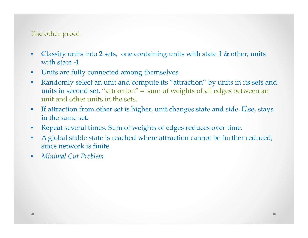### The other proof:

- •Classify units into 2 sets, one containing units with state  $1 \&$  other, units with state ‐1
- $\bullet$ Units are fully connected among themselves
- $\bullet$  Randomly select an unit and compute its "attraction" by units in its sets and units in second set. "attraction" <sup>=</sup> sum of weights of all edges between an unit and other units in the sets.
- $\bullet$  If attraction from other set is higher, unit changes state and side. Else, stays in the same set.
- $\bullet$ Repeat several times. Sum of weights of edges reduces over time.
- $\bullet$  A global stable state is reached where attraction cannot be further reduced, since network is finite.
- •*Minimal Cut Problem*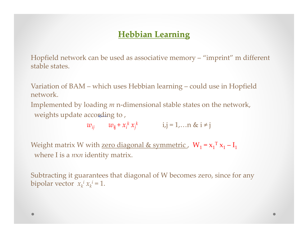## **Hebbian Learning**

Hopfield network can be used as associative memory – "imprint" <sup>m</sup> different stable states.

Variation of BAM – which uses Hebbian learning – could use in Hopfield network.

Implemented by loading *m* n-dimensional stable states on the network, weights update according to,

$$
w_{ij} \qquad w_{ij} + x_i^k x_j^k \qquad i,j = 1,... \text{ s i \neq j}
$$

Weight matrix W with <u>zero diagonal & symmetric</u>,  $W_1 = x_1^T x_1 - I_1$ where I is <sup>a</sup> *<sup>n</sup>*x*<sup>n</sup>* identity matrix.

Subtracting it guarantees that diagonal of W becomes zero, since for any bipolar vector  $x_k^i x_k^i = 1$ .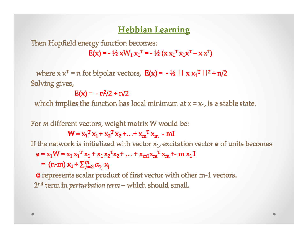### **Hebbian Learning**

Then Hopfield energy function becomes:

 $E(x) = -\frac{1}{2} x W_1 x_1^T = -\frac{1}{2} (x x_1^T x_1 x^T - x x^T)$ 

where  $x x^T = n$  for bipolar vectors,  $E(x) = -\frac{1}{2} \ln x x_1^T \ln^2 + n/2$ Solving gives,

 $E(x) = -n^2/2 + n/2$ 

which implies the function has local minimum at  $x = x_1$ , is a stable state.

For *m* different vectors, weight matrix W would be:

 $W = x_1^T x_1 + x_2^T x_2 + ... + x_m^T x_m - mI$ 

If the network is initialized with vector  $x_1$ , excitation vector **e** of units becomes

$$
\mathbf{e} = \mathbf{x}_1 \mathbf{W} = \mathbf{x}_1 \mathbf{x}_1^T \mathbf{x}_1 + \mathbf{x}_1 \mathbf{x}_2^T \mathbf{x}_2 + \dots + \mathbf{x}_{m1} \mathbf{x}_m^T \mathbf{x}_m + \mathbf{m} \mathbf{x}_1 \mathbf{I}
$$

= (n-m)  $x_1 + \sum_{i=2}^{m} \alpha_{1i} x_i$ 

a represents scalar product of first vector with other m-1 vectors. 2<sup>nd</sup> term in *perturbation term* – which should small.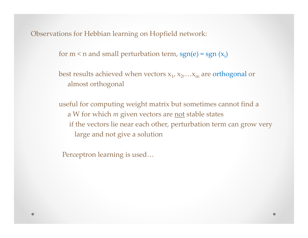Observations for Hebbian learning on Hopfield network:

for m < n and small perturbation term, sgn(e) = sgn  $(x_i)$ 

best results achieved when vectors  $\mathrm{x}_1^{}$ ,  $\mathrm{x}_2^{}$ ,… $\mathrm{x}_\mathrm{m}^{}$  are orthogonal or almost orthogonal

useful for computing weight matrix but sometimes cannot find <sup>a</sup> a W for which *m* given vectors are <u>not</u> stable states if the vectors lie near each other, perturbation term can grow very large and not give <sup>a</sup> solution

Perceptron learning is used…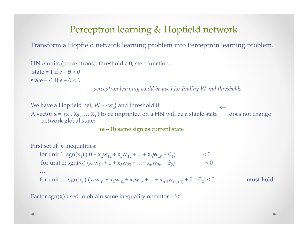# Perceptron learning & Hopfield network

Transform a Hopfield network learning problem into Perceptron learning problem.

HN *<sup>n</sup>* units (perceptrons), threshold <sup>≠</sup>0, step function, state <sup>=</sup> 1 if *e – θ <sup>&</sup>gt; 0* state <sup>=</sup> ‐1 if *e – θ <sup>&</sup>lt; 0* … *perceptron learning could be used for finding W and thresholds*

We have a Hopfield net, W = {w<sub>ij</sub>} and threshold  $\theta$  $\leftarrow$ A vector **x** = (x<sub>1</sub>, x<sub>2</sub> ,..., x<sub>n</sub> ) to be imprinted on a HN will be a stable state does not change network global state:

(**<sup>e</sup> – θ)** same sign as current state

First set of *<sup>n</sup>* inequalities:

for unit 1: sgn(x<sub>1</sub>) ( 0 + x<sub>2</sub>w<sub>12</sub> + x<sub>3</sub>w<sub>13</sub> + ... + x<sub>n</sub>w<sub>1n</sub> - 
$$
\theta
$$
<sub>1</sub>) 
$$
< 0
$$

for unit 2: sgn(x<sub>2</sub>) (x<sub>1</sub>w<sub>21</sub> + 0 + x<sub>3</sub>w<sub>23</sub> + ... + x<sub>n</sub>w<sub>2n</sub> - 
$$
\theta
$$
<sub>2</sub>) 
$$
< 0
$$

for unit n: sgn(
$$
x_n
$$
) ( $x_1w_{n1} + x_2w_{n2} + x_3w_{n3} + ... + x_{n-1}w_{n(n-1)} + 0 - \theta_2$ ) < 0 must hold

Factor sgn(x<sub>i</sub>) used to obtain same inequality operator  $-\prime\prime$ 

…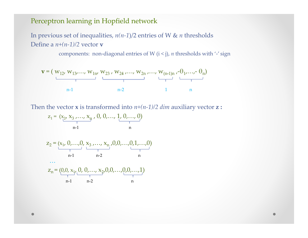#### Perceptron learning in Hopfield network

In previous set of inequalities, *n(n‐1*)/2 entries of W & *<sup>n</sup>* thresholds Define a *n+(n‐1)/2* vector **<sup>v</sup>**

components: non‐diagonal entries of W (i <sup>&</sup>lt; j), *<sup>n</sup>* thresholds with '‐' sign



Then the vector **<sup>x</sup>** is transformed into *n+(n‐1)/2 dim* auxiliary vector **<sup>z</sup> :**

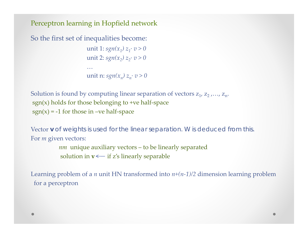Perceptron learning in Hopfield network

```
So the first set of inequalities become:
                          unit 1: sgn(x_1) z_1⋅ v > 0\text{unit 2: } \text{sgn}(x_2) z_2 \text{·} v > 0…unit n: sgn(x_n) z_n· v > 0
```

```
Solution is found by computing linear separation of vectors \rm z_{1}, \rm z_{2} ,…, \rm z_{n}.sgn(x) holds for those belonging to +ve half-space
sgn(x) = -1 for those in –ve half-space
```
Vector **v** of weights is used for the linear separation. W is deduced from this. For *<sup>m</sup>* given vectors:

```
nm unique auxiliary vectors – to be linearly separated
solution in \mathbf{v} \!\leftarrow if z's linearly separable
```
Learning problem of <sup>a</sup> *<sup>n</sup>* unit HN transformed into *n+(n‐1)/2* dimension learning problem for <sup>a</sup> perceptron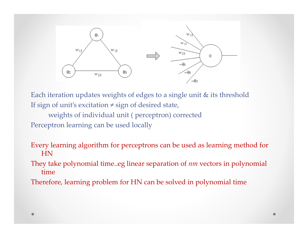

Each iteration updates weights of edges to <sup>a</sup> single unit & its threshold If sign of unit's excitation  $\neq$  sign of desired state,

weights of individual unit ( perceptron) corrected Perceptron learning can be used locally

Every learning algorithm for perceptrons can be used as learning method for HN

They take polynomial time..eg linear separation of *nm* vectors in polynomial time

Therefore, learning problem for HN can be solved in polynomial time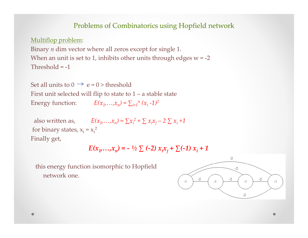#### Problems of Combinatorics using Hopfield network

Multiflop problem:

Binary *n* dim vector where all zeros except for single 1. When an unit is set to 1, inhibits other units through edges <sup>w</sup> <sup>=</sup> ‐<sup>2</sup> Threshold <sup>=</sup> ‐1

Set all units to  $0 \to e$  = 0 > threshold First unit selected will flip to state to <sup>1</sup> – <sup>a</sup> stable state Energy function:  $E(x_1, ..., x_n) = \sum_{i=1}^n (x_i - 1)^2$ 

also written as,  $E(x_1,...,x_n) = \sum x_i^2 + \sum x_i x_j - 2 \sum x_i + 1$ for binary states,  $x_i = x_i^2$ Finally get,

$$
E(x_1,...,x_n) = -\frac{1}{2} \sum (-2) x_i x_j + \sum (-1) x_i + 1
$$

this energy function isomorphic to Hopfield network one.

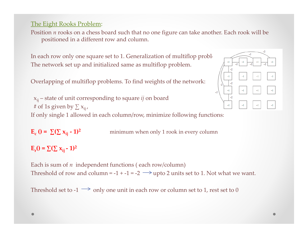The Eight Rooks Problem:

Position *<sup>n</sup>* rooks on <sup>a</sup> chess board such that no one figure can take another. Each rook will be positioned in <sup>a</sup> different row and column.

In each row only one square set to 1. Generalization of multiflop proble $\blacksquare$ The network set up and initialized same as multiflop problem.

Overlapping of multiflop problems. To find weights of the network:



xij – state of unit corresponding to square *ij* on board # of 1s given by  $\sum {\mathsf x}_{\mathsf ij}$  , If only single <sup>1</sup> allowed in each column/row, minimize following functions:

 $E_c$  () =  $\sum (\sum x_{ij} - 1)^2$ **() <sup>=</sup> ∑(∑ xij ‐ 1) cij)2** minimum when only <sup>1</sup> rook in every column

 $E_r() = \sum (\sum x_{ij} - 1)^2$ 

Each is sum of  $n\;$  independent functions ( each row/column) Threshold of row and column = -1 + -1 = -2  $\longrightarrow$  upto 2 units set to 1. Not what we want.

Threshold set to -1  $\longrightarrow$  only one unit in each row or column set to 1, rest set to 0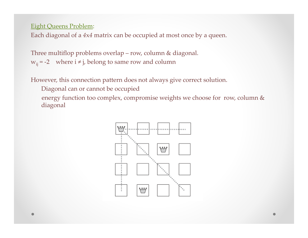#### Eight Queens Problem:

Each diagonal of <sup>a</sup> *<sup>4</sup>*x*<sup>4</sup>* matrix can be occupied at most once by <sup>a</sup> queen.

Three multiflop problems overlap – row, column & diagonal.  $w_{ij}$  = -2 where  $i \neq j$ , belong to same row and column

However, this connection pattern does not always give correct solution.

Diagonal can or cannot be occupied

energy function too complex, compromise weights we choose for row, column & diagonal

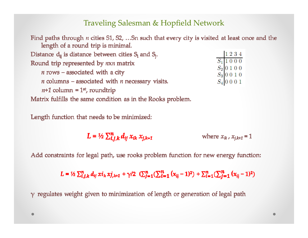### Traveling Salesman & Hopfield Network

| Find paths through <i>n</i> cities S1, S2, Sn such that every city is visited at least once and the<br>length of a round trip is minimal. |                                                                                                 |
|-------------------------------------------------------------------------------------------------------------------------------------------|-------------------------------------------------------------------------------------------------|
| Distance $d_{ij}$ is distance between cities $S_i$ and $S_j$ .                                                                            | 1234                                                                                            |
| Round trip represented by nxn matrix                                                                                                      | $S_{\rm 1}$ 1000<br>$\begin{array}{c c} S_2 & 0 & 1 & 0 & 0 \\ S_3 & 0 & 0 & 1 & 0 \end{array}$ |
| $n$ rows – associated with a city                                                                                                         |                                                                                                 |
| $n$ columns – associated with $n$ necessary visits.                                                                                       | $S_4$ 0001                                                                                      |
| $n+1$ column = 1 <sup>st</sup> , roundtrip                                                                                                |                                                                                                 |
| Matrix fulfills the same condition as in the Rooks problem.                                                                               |                                                                                                 |

Length function that needs to be minimized:

 $L = \frac{1}{2} \sum_{i,j,k}^{n} d_{ij} x_{ik} x_{j,k+1}$ where  $x_{ik}$ ,  $x_{i,k+1} = 1$ 

Add constraints for legal path, use rooks problem function for new energy function:

 $L = \frac{1}{2} \sum_{i,j,k}^{n} d_{ij} x i_k x j_{,k+1} + \gamma/2 \left( \sum_{j=1}^{n} (\sum_{i=1}^{n} (x_{ij} - 1)^2) + \sum_{i=1}^{n} (\sum_{j=1}^{n} (x_{ij} - 1)^2) \right)$ 

 $\gamma$  regulates weight given to minimization of length or generation of legal path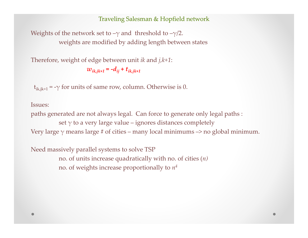#### Traveling Salesman & Hopfield network

Weights of the network set to  $-\gamma$  and threshold to  $-\gamma/2$ . weights are modified by adding length between states

Therefore, weight of edge between unit *ik* and *j,k+1*:

 $w_{ik,jk+1} = -d_{ij} + t_{ik,jk+1}$ 

 $t_{ik,ik+1}$  = - $\gamma$  for units of same row, column. Otherwise is 0.

Issues:

paths generated are not always legal. Can force to generate only legal paths : set  $\gamma$  to a very large value – ignores distances completely Very large  $\gamma$  means large # of cities – many local minimums –> no global minimum.

Need massively parallel systems to solve TSP no. of units increase quadratically with no. of cities (*n)* no. of weights increase proportionally to *<sup>n</sup><sup>4</sup>*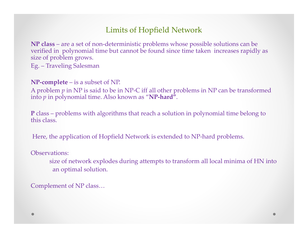### Limits of Hopfield Network

**NP class** – are <sup>a</sup> set of non‐deterministic problems whose possible solutions can be verified in polynomial time but cannot be found since time taken increases rapidly as size of problem grows. Eg. – Traveling Salesman

**NP‐complete** – is <sup>a</sup> subset of NP.

A problem *p* in NP is said to be in NP‐C iff all other problems in NP can be transformed into *p* in polynomial time. Also known as "**NP‐hard"**.

**P** class – problems with algorithms that reach <sup>a</sup> solution in polynomial time belong to this class.

Here, the application of Hopfield Network is extended to NP-hard problems.

Observations:

size of network explodes during attempts to transform all local minima of HN into an optimal solution.

Complement of NP class…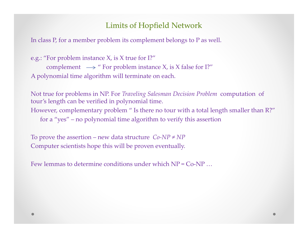### Limits of Hopfield Network

In class P, for <sup>a</sup> member problem its complement belongs to <sup>P</sup> as well.

```
e.g.: "For problem instance X, is X true for I?"
      complement \longrightarrow " For problem instance X, is X false for I?"
A polynomial time algorithm will terminate on each.
```
Not true for problems in NP. For *Traveling Salesman Decision Problem* computation of tour's length can be verified in polynomial time. However, complementary problem " Is there no tour with a total length smaller than R?" for <sup>a</sup> "yes" – no polynomial time algorithm to verify this assertion

To prove the assertion – new data structure *Co‐NP <sup>≠</sup>NP* Computer scientists hope this will be proven eventually.

Few lemmas to determine conditions under which NP <sup>=</sup> Co‐NP …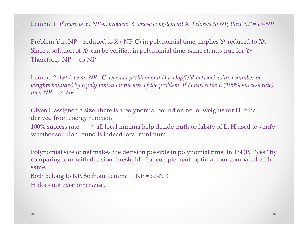Lemma 1: If there is an NP-C problem X whose complement  $X^c$  belongs to NP, then NP = co-NP

Problem Y in NP – reduced to X ( NP-C) in polynomial time, implies Y<sup>c</sup> reduced to  $X^c$ . Since a solution of  $X^c$  can be verified in polynomial time, same stands true for  $\Upsilon^c$  . Therefore,  $NP = co-NP$ 

Lemma 2: *Let <sup>L</sup> be an NP –C decision problem and <sup>H</sup> <sup>a</sup> Hopfield network with <sup>a</sup> number of* weights bounded by a polynomial on the size of the problem. If H can solve L (100% success rate)  $then NP = co-NP.$ 

Given L assigned <sup>a</sup> size, there is <sup>a</sup> polynomial bound on no. of weights for <sup>H</sup> to be derived from energy function.

100% success rate  $\implies$  all local minima help decide truth or falsity of L. H used to verify whether solution found is indeed local minimum.

Polynomial size of net makes the decision possible in polynomial time. In TSDP, "yes" by comparing tour with decision threshold. For complement, optimal tour compared with same.

Both belong to NP. So from Lemma 1, NP <sup>=</sup> co‐NP.

H does not exist otherwise.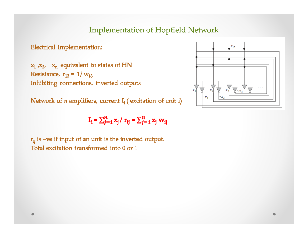### **Implementation of Hopfield Network**

**Electrical Implementation:** 

 $x_1, x_2, \ldots, x_n$  equivalent to states of HN Resistance,  $r_{13} = 1/w_{13}$ Inhibiting connections, inverted outputs

Network of  $n$  amplifiers, current  $I_1$  (excitation of unit i)

$$
\mathbf{I}_i = \sum_{j=1}^n x_j / \mathbf{r}_{ij} = \sum_{j=1}^n x_j \mathbf{w}_{ij}
$$

 $r_{ij}$  is -ve if input of an unit is the inverted output. Total excitation transformed into 0 or 1

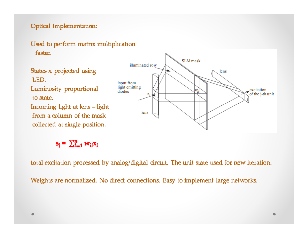#### Optical Implementation:



States x<sub>1</sub> projected using LED. Luminosity proportional to state. Incoming light at lens - light from a column of the mask collected at single position.

$$
\mathbf{s}_{\mathbf{j}} = \sum_{l=1}^{n} \mathbf{w}_{\mathbf{ij}} \mathbf{x}_{\mathbf{j}}
$$

total excitation processed by analog/digital circuit. The unit state used for new iteration.

Weights are normalized. No direct connections. Easy to implement large networks.